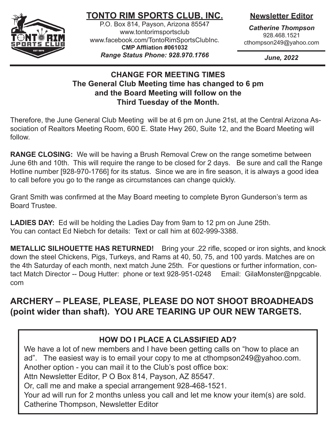

# **TONTO RIM SPORTS CLUB, INC.**

P.O. Box 814, Payson, Arizona 85547 www.tontorimsportsclub www.facebook.com/TontoRimSportsClubInc. **CMP Affliation #061032** *Range Status Phone: 928.970.1766*

## **Newsletter Editor**

*Catherine Thompson* 928.468.1521 cthompson249@yahoo.com

*June, 2022*

### **CHANGE FOR MEETING TIMES The General Club Meeting time has changed to 6 pm and the Board Meeting will follow on the Third Tuesday of the Month.**

Therefore, the June General Club Meeting will be at 6 pm on June 21st, at the Central Arizona Association of Realtors Meeting Room, 600 E. State Hwy 260, Suite 12, and the Board Meeting will follow.

**RANGE CLOSING:** We will be having a Brush Removal Crew on the range sometime between June 6th and 10th. This will require the range to be closed for 2 days. Be sure and call the Range Hotline number [928-970-1766] for its status. Since we are in fire season, it is always a good idea to call before you go to the range as circumstances can change quickly.

Grant Smith was confirmed at the May Board meeting to complete Byron Gunderson's term as Board Trustee.

**LADIES DAY:** Ed will be holding the Ladies Day from 9am to 12 pm on June 25th. You can contact Ed Niebch for details: Text or call him at 602-999-3388.

**METALLIC SILHOUETTE HAS RETURNED!** Bring your .22 rifle, scoped or iron sights, and knock down the steel Chickens, Pigs, Turkeys, and Rams at 40, 50, 75, and 100 yards. Matches are on the 4th Saturday of each month, next match June 25th. For questions or further information, contact Match Director -- Doug Hutter: phone or text 928-951-0248 Email: GilaMonster@npgcable. com

# **ARCHERY – PLEASE, PLEASE, PLEASE DO NOT SHOOT BROADHEADS (point wider than shaft). YOU ARE TEARING UP OUR NEW TARGETS.**

### **HOW DO I PLACE A CLASSIFIED AD?**

We have a lot of new members and I have been getting calls on "how to place an ad". The easiest way is to email your copy to me at cthompson249@yahoo.com. Another option - you can mail it to the Club's post office box: Attn Newsletter Editor, P O Box 814, Payson, AZ 85547.

Or, call me and make a special arrangement 928-468-1521.

Your ad will run for 2 months unless you call and let me know your item(s) are sold. Catherine Thompson, Newsletter Editor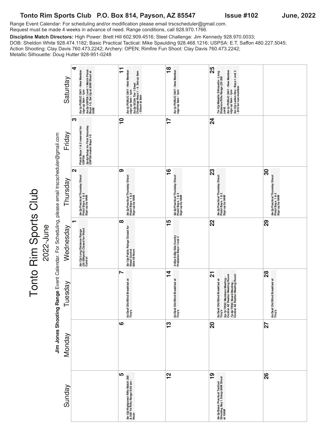#### Tonto Rim Sports Club P.O. Box 814, Payson, AZ 85547 Issue #102 June, 2022

Tonto Rim Sports Club

Range Event Calendar: For scheduling and/or modification please email trscscheduler@gmail.com. Request must be made 4 weeks in advance of need. Range conditions, call 928.970.1766.

**Discipline Match Directors:** High Power: Brett Hill 602.909.4516; Steel Challenge: Jim Kennedy 928.970.0033; DOB: Sheldon White 928.474.1182; Basic Practical Tactical: Mike Spaulding 928.468.1216; USPSA: E.T. Saffon 480.227.5045; Action Shooting: Clay Davis 760.473.2242; Archery: OPEN; Rimfire Fun Shoot: Clay Davis 760.473.2242; Metallic Silhouette: Doug Hutter 928-951-0248

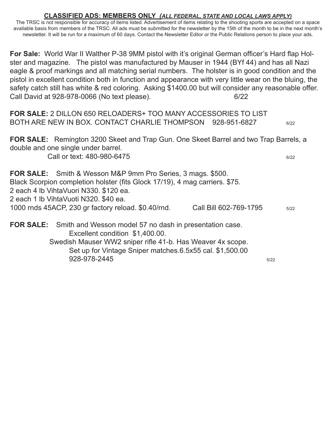#### **CLASSIFIED ADS: MEMBERS ONLY** *(ALL FEDERAL, STATE AND LOCAL LAWS APPLY)*

The TRSC is not responsible for accuracy of items listed. Advertisement of items relating to the shooting sports are accepted on a space available basis from members of the TRSC. All ads must be submitted for the newsletter by the 15th of the month to be in the next month's newsletter. It will be run for a maximum of 60 days. Contact the Newsletter Editor or the Public Relations person to place your ads.

**For Sale:** World War II Walther P-38 9MM pistol with it's original German officer's Hard flap Holster and magazine. The pistol was manufactured by Mauser in 1944 (BYf 44) and has all Nazi eagle & proof markings and all matching serial numbers. The holster is in good condition and the pistol in excellent condition both in function and appearance with very little wear on the bluing, the safety catch still has white & red coloring. Asking \$1400.00 but will consider any reasonable offer. Call David at 928-978-0066 (No text please). 6/22

**FOR SALE:** 2 DILLON 650 RELOADERS+ TOO MANY ACCESSORIES TO LIST BOTH ARE NEW IN BOX. CONTACT CHARLIE THOMPSON 928-951-6827 6/22

**FOR SALE:** Remington 3200 Skeet and Trap Gun. One Skeet Barrel and two Trap Barrels, a double and one single under barrel.

Call or text: 480-980-6475 6/22

**FOR SALE:** Smith & Wesson M&P 9mm Pro Series, 3 mags. \$500. Black Scorpion completion holster (fits Glock 17/19), 4 mag carriers. \$75. 2 each 4 lb VihtaVuori N330. \$120 ea. 2 each 1 lb VihtaVuoti N320. \$40 ea. 1000 rnds 45ACP, 230 gr factory reload. \$0.40/rnd. Call Bill 602-769-1795 5/22 **FOR SALE:** Smith and Wesson model 57 no dash in presentation case.

Excellent condition \$1,400.00. Swedish Mauser WW2 sniper rifle 41-b. Has Weaver 4x scope. Set up for Vintage Sniper matches.6.5x55 cal. \$1,500.00 928-978-2445 5/22